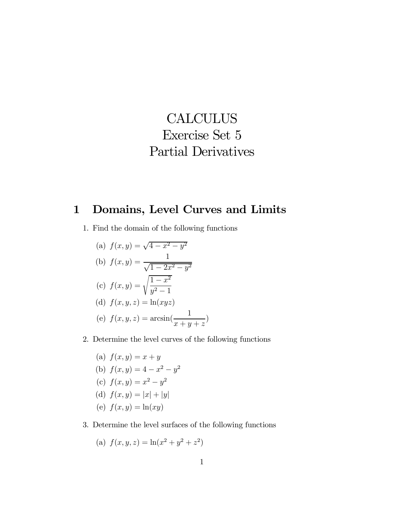## **CALCULUS** Exercise Set 5 Partial Derivatives

## 1 Domains, Level Curves and Limits

- 1. Find the domain of the following functions
	- (a)  $f(x, y) = \sqrt{4 x^2 y^2}$ (b)  $f(x, y) = \frac{1}{\sqrt{1 - x^2}}$  $\sqrt{1-2x^2-y^2}$ (c)  $f(x,y) = \sqrt{\frac{1-x^2}{2}}$  $y^2-1$ (d)  $f(x, y, z) = \ln(xyz)$ (e)  $f(x, y, z) = \arcsin(\frac{1}{z})$  $x + y + z$
- 2. Determine the level curves of the following functions

)

(a)  $f(x, y) = x + y$ (b)  $f(x, y) = 4 - x^2 - y^2$ (c)  $f(x, y) = x^2 - y^2$ (d)  $f(x, y) = |x| + |y|$ (e)  $f(x, y) = \ln(xy)$ 

3. Determine the level surfaces of the following functions

(a) 
$$
f(x, y, z) = \ln(x^2 + y^2 + z^2)
$$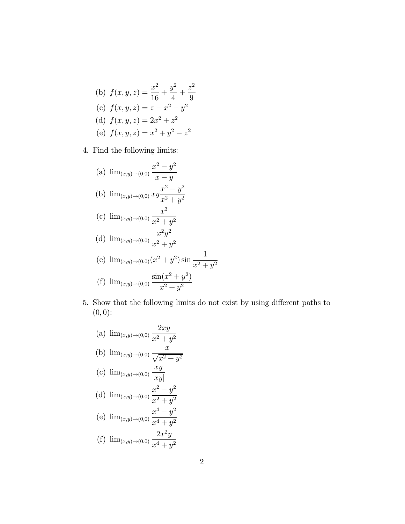(b) 
$$
f(x, y, z) = \frac{x^2}{16} + \frac{y^2}{4} + \frac{z^2}{9}
$$
  
\n(c)  $f(x, y, z) = z - x^2 - y^2$   
\n(d)  $f(x, y, z) = 2x^2 + z^2$   
\n(e)  $f(x, y, z) = x^2 + y^2 - z^2$ 

4. Find the following limits:

(a) 
$$
\lim_{(x,y)\to(0,0)} \frac{x^2 - y^2}{x - y}
$$
  
\n(b)  $\lim_{(x,y)\to(0,0)} xy \frac{x^2 - y^2}{x^2 + y^2}$   
\n(c)  $\lim_{(x,y)\to(0,0)} \frac{x^3}{x^2 + y^2}$   
\n(d)  $\lim_{(x,y)\to(0,0)} \frac{x^2y^2}{x^2 + y^2}$   
\n(e)  $\lim_{(x,y)\to(0,0)} (x^2 + y^2) \sin \frac{1}{x^2 + y^2}$   
\n(f)  $\lim_{(x,y)\to(0,0)} \frac{\sin(x^2 + y^2)}{x^2 + y^2}$ 

5. Show that the following limits do not exist by using different paths to  $(0, 0)$ :

(a) 
$$
\lim_{(x,y)\to(0,0)} \frac{2xy}{x^2 + y^2}
$$
  
\n(b)  $\lim_{(x,y)\to(0,0)} \frac{x}{\sqrt{x^2 + y^2}}$   
\n(c)  $\lim_{(x,y)\to(0,0)} \frac{xy}{|xy|}$   
\n(d)  $\lim_{(x,y)\to(0,0)} \frac{x^2 - y^2}{x^2 + y^2}$   
\n(e)  $\lim_{(x,y)\to(0,0)} \frac{x^4 - y^2}{x^4 + y^2}$   
\n(f)  $\lim_{(x,y)\to(0,0)} \frac{2x^2y}{x^4 + y^2}$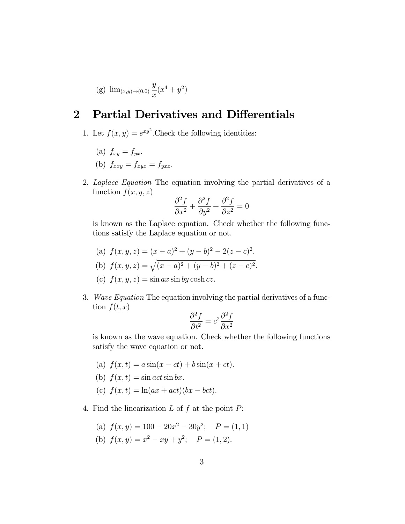(g) 
$$
\lim_{(x,y)\to(0,0)} \frac{y}{x}(x^4 + y^2)
$$

## 2 Partial Derivatives and Differentials

- 1. Let  $f(x, y) = e^{xy^2}$ . Check the following identities:
	- (a)  $f_{xy} = f_{yx}$ .
	- (b)  $f_{xxy} = f_{xyx} = f_{yxx}$ .
- 2. Laplace Equation The equation involving the partial derivatives of a function  $f(x, y, z)$

$$
\frac{\partial^2 f}{\partial x^2} + \frac{\partial^2 f}{\partial y^2} + \frac{\partial^2 f}{\partial z^2} = 0
$$

is known as the Laplace equation. Check whether the following functions satisfy the Laplace equation or not.

- (a)  $f(x, y, z) = (x a)^2 + (y b)^2 2(z c)^2$ .
- (b)  $f(x, y, z) = \sqrt{(x a)^2 + (y b)^2 + (z c)^2}.$
- (c)  $f(x, y, z) = \sin ax \sin by \cosh cz.$
- 3. Wave Equation The equation involving the partial derivatives of a function  $f(t, x)$

$$
\frac{\partial^2 f}{\partial t^2} = c^2 \frac{\partial^2 f}{\partial x^2}
$$

is known as the wave equation. Check whether the following functions satisfy the wave equation or not.

- (a)  $f(x, t) = a \sin(x ct) + b \sin(x + ct)$ .
- (b)  $f(x,t) = \sin act \sin bx$ .
- (c)  $f(x, t) = \ln(ax + act)(bx bct).$
- 4. Find the linearization  $L$  of  $f$  at the point  $P$ :
	- (a)  $f(x, y) = 100 20x^2 30y^2$ ;  $P = (1, 1)$
	- (b)  $f(x, y) = x^2 xy + y^2$ ;  $P = (1, 2)$ .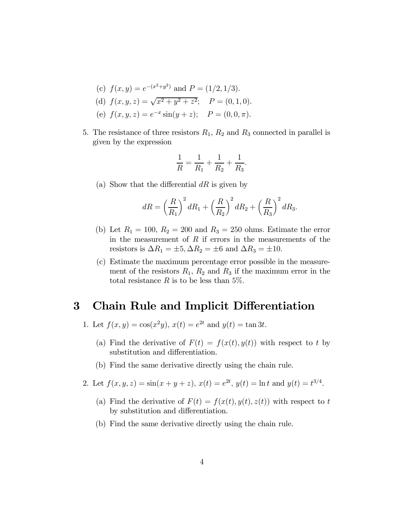- (c)  $f(x, y) = e^{-(x^2+y^2)}$  and  $P = (1/2, 1/3)$ . (d)  $f(x, y, z) = \sqrt{x^2 + y^2 + z^2}$ ;  $P = (0, 1, 0)$ . (e)  $f(x, y, z) = e^{-x} \sin(y + z);$   $P = (0, 0, \pi).$
- 5. The resistance of three resistors  $R_1, R_2$  and  $R_3$  connected in parallel is given by the expression

$$
\frac{1}{R} = \frac{1}{R_1} + \frac{1}{R_2} + \frac{1}{R_3}.
$$

(a) Show that the differential  $dR$  is given by

$$
dR = \left(\frac{R}{R_1}\right)^2 dR_1 + \left(\frac{R}{R_2}\right)^2 dR_2 + \left(\frac{R}{R_3}\right)^2 dR_3.
$$

- (b) Let  $R_1 = 100$ ,  $R_2 = 200$  and  $R_3 = 250$  ohms. Estimate the error in the measurement of  $R$  if errors in the measurements of the resistors is  $\Delta R_1 = \pm 5, \Delta R_2 = \pm 6$  and  $\Delta R_3 = \pm 10$ .
- (c) Estimate the maximum percentage error possible in the measurement of the resistors  $R_1$ ,  $R_2$  and  $R_3$  if the maximum error in the total resistance R is to be less than 5%.

## 3 Chain Rule and Implicit Differentiation

- 1. Let  $f(x, y) = \cos(x^2y), x(t) = e^{2t}$  and  $y(t) = \tan 3t$ .
	- (a) Find the derivative of  $F(t) = f(x(t), y(t))$  with respect to t by substitution and differentiation.
	- (b) Find the same derivative directly using the chain rule.
- 2. Let  $f(x, y, z) = \sin(x + y + z)$ ,  $x(t) = e^{2t}$ ,  $y(t) = \ln t$  and  $y(t) = t^{3/4}$ .
	- (a) Find the derivative of  $F(t) = f(x(t), y(t), z(t))$  with respect to t by substitution and differentiation.
	- (b) Find the same derivative directly using the chain rule.